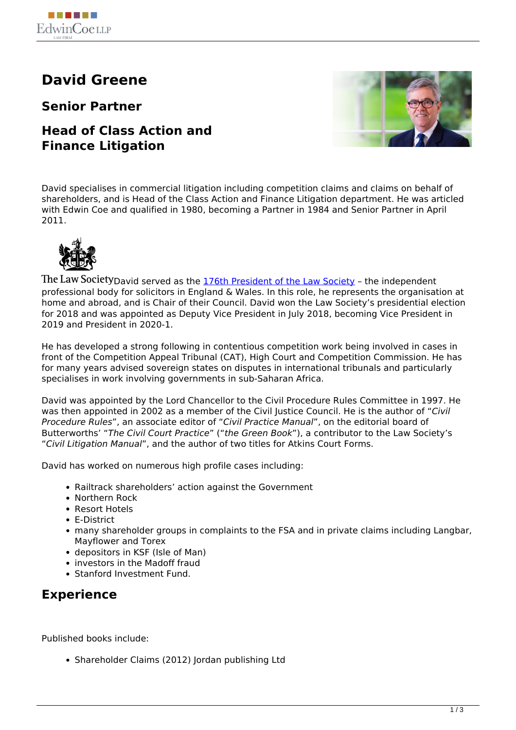# **David Greene**

**Senior Partner**

### **Head of Class Action and Finance Litigation**



David specialises in commercial litigation including competition claims and claims on behalf of shareholders, and is Head of the Class Action and Finance Litigation department. He was articled with Edwin Coe and qualified in 1980, becoming a Partner in 1984 and Senior Partner in April 2011.



The Law Society David served as the [176th President of the Law Society](https://www.edwincoe.com/david-greene-inaugurated-as-176th-law-society-president/) - the independent professional body for solicitors in England & Wales. In this role, he represents the organisation at home and abroad, and is Chair of their Council. David won the Law Society's presidential election for 2018 and was appointed as Deputy Vice President in July 2018, becoming Vice President in 2019 and President in 2020-1.

He has developed a strong following in contentious competition work being involved in cases in front of the Competition Appeal Tribunal (CAT), High Court and Competition Commission. He has for many years advised sovereign states on disputes in international tribunals and particularly specialises in work involving governments in sub-Saharan Africa.

David was appointed by the Lord Chancellor to the Civil Procedure Rules Committee in 1997. He was then appointed in 2002 as a member of the Civil Justice Council. He is the author of "*Civil Procedure Rules*", an associate editor of "*Civil Practice Manual*", on the editorial board of Butterworths' "*The Civil Court Practice*" ("*the Green Book*"), a contributor to the Law Society's "*Civil Litigation Manual*", and the author of two titles for Atkins Court Forms.

David has worked on numerous high profile cases including:

- Railtrack shareholders' action against the Government
- Northern Rock
- Resort Hotels
- E-District
- many shareholder groups in complaints to the FSA and in private claims including Langbar, Mayflower and Torex
- depositors in KSF (Isle of Man)
- investors in the Madoff fraud
- Stanford Investment Fund.

## **Experience**

Published books include:

• Shareholder Claims (2012) Jordan publishing Ltd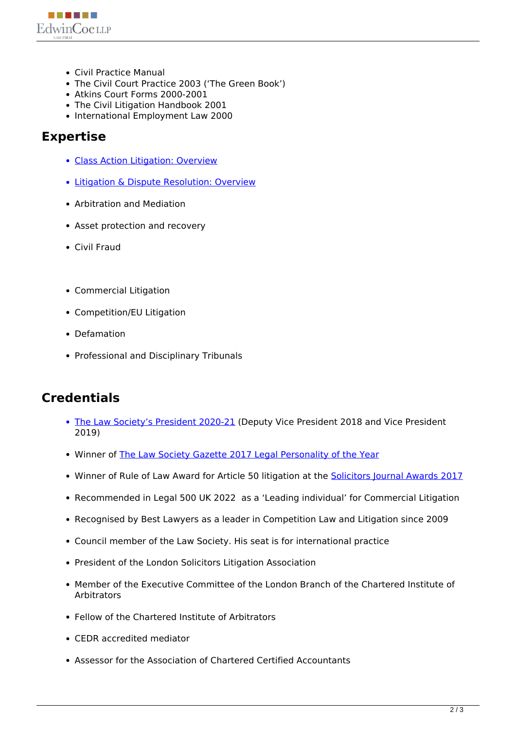

- Civil Practice Manual
- The Civil Court Practice 2003 ('The Green Book')
- Atkins Court Forms 2000-2001
- The Civil Litigation Handbook 2001
- International Employment Law 2000

#### **Expertise**

- Class Action Litigation: Overview
- Litigation & Dispute Resolution: Overview
- Arbitration and Mediation
- Asset protection and recovery
- Civil Fraud
- Commercial Litigation
- Competition/EU Litigation
- Defamation
- Professional and Disciplinary Tribunals

### **Credentials**

- The Law Society's President 2020-21 (Deputy Vice President 2018 and Vice President 2019)
- Winner of The Law Society Gazette 2017 Legal Personality of the Year
- Winner of Rule of Law Award for Article 50 litigation at the **Solicitors Journal Awards 2017**
- Recommended in Legal 500 UK 2022 as a 'Leading individual' for Commercial Litigation
- Recognised by Best Lawyers as a leader in Competition Law and Litigation since 2009
- Council member of the Law Society. His seat is for international practice
- President of the London Solicitors Litigation Association
- Member of the Executive Committee of the London Branch of the Chartered Institute of Arbitrators
- Fellow of the Chartered Institute of Arbitrators
- CEDR accredited mediator
- Assessor for the Association of Chartered Certified Accountants